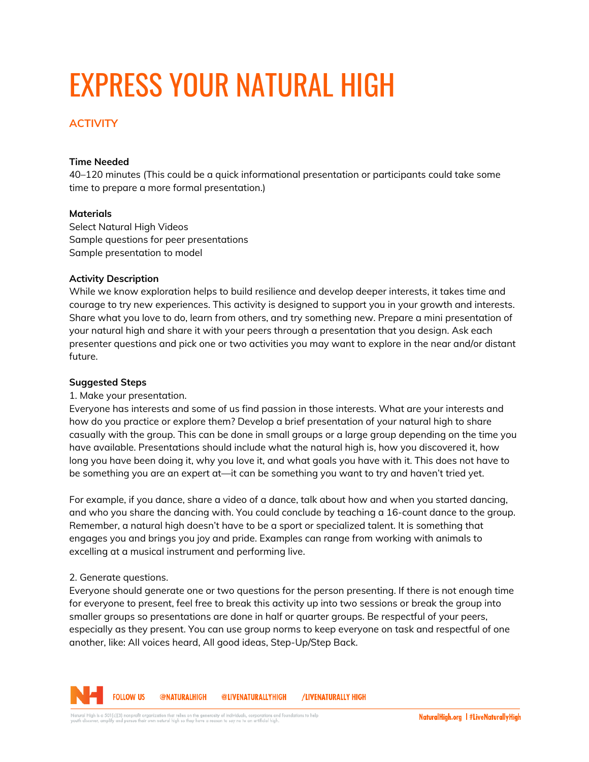# EXPRESS YOUR NATURAL HIGH

# **ACTIVITY**

#### **Time Needed**

40–120 minutes (This could be a quick informational presentation or participants could take some time to prepare a more formal presentation.)

#### **Materials**

Select Natural High Videos Sample questions for peer presentations Sample presentation to model

#### **Activity Description**

While we know exploration helps to build resilience and develop deeper interests, it takes time and courage to try new experiences. This activity is designed to support you in your growth and interests. Share what you love to do, learn from others, and try something new. Prepare a mini presentation of your natural high and share it with your peers through a presentation that you design. Ask each presenter questions and pick one or two activities you may want to explore in the near and/or distant future.

#### **Suggested Steps**

## 1. Make your presentation.

Everyone has interests and some of us find passion in those interests. What are your interests and how do you practice or explore them? Develop a brief presentation of your natural high to share casually with the group. This can be done in small groups or a large group depending on the time you have available. Presentations should include what the natural high is, how you discovered it, how long you have been doing it, why you love it, and what goals you have with it. This does not have to be something you are an expert at—it can be something you want to try and haven't tried yet.

For example, if you dance, share a video of a dance, talk about how and when you started dancing, and who you share the dancing with. You could conclude by teaching a 16-count dance to the group. Remember, a natural high doesn't have to be a sport or specialized talent. It is something that engages you and brings you joy and pride. Examples can range from working with animals to excelling at a musical instrument and performing live.

## 2. Generate questions.

Everyone should generate one or two questions for the person presenting. If there is not enough time for everyone to present, feel free to break this activity up into two sessions or break the group into smaller groups so presentations are done in half or quarter groups. Be respectful of your peers, especially as they present. You can use group norms to keep everyone on task and respectful of one another, like: All voices heard, All good ideas, Step-Up/Step Back.